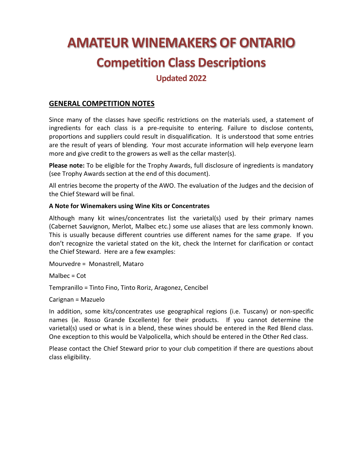# **AMATEUR WINEMAKERS OF ONTARIO Competition Class Descriptions**

# **Updated 2022**

# **GENERAL COMPETITION NOTES**

Since many of the classes have specific restrictions on the materials used, a statement of ingredients for each class is a pre-requisite to entering. Failure to disclose contents, proportions and suppliers could result in disqualification. It is understood that some entries are the result of years of blending. Your most accurate information will help everyone learn more and give credit to the growers as well as the cellar master(s).

**Please note:** To be eligible for the Trophy Awards, full disclosure of ingredients is mandatory (see Trophy Awards section at the end of this document).

All entries become the property of the AWO. The evaluation of the Judges and the decision of the Chief Steward will be final.

#### **A Note for Winemakers using Wine Kits or Concentrates**

Although many kit wines/concentrates list the varietal(s) used by their primary names (Cabernet Sauvignon, Merlot, Malbec etc.) some use aliases that are less commonly known. This is usually because different countries use different names for the same grape. If you don't recognize the varietal stated on the kit, check the Internet for clarification or contact the Chief Steward. Here are a few examples:

Mourvedre = Monastrell, Mataro

 $M$ albec = Cot

Tempranillo = Tinto Fino, Tinto Roriz, Aragonez, Cencibel

Carignan = Mazuelo

In addition, some kits/concentrates use geographical regions (i.e. Tuscany) or non-specific names (ie. Rosso Grande Excellente) for their products. If you cannot determine the varietal(s) used or what is in a blend, these wines should be entered in the Red Blend class. One exception to this would be Valpolicella, which should be entered in the Other Red class.

Please contact the Chief Steward prior to your club competition if there are questions about class eligibility.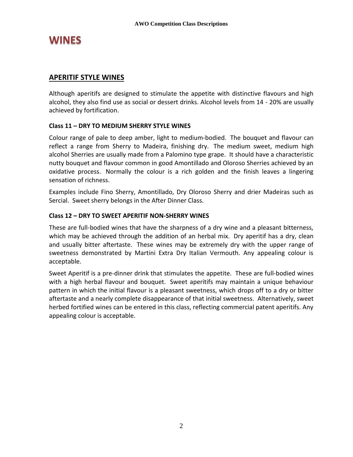# **WINES**

# **APERITIF STYLE WINES**

Although aperitifs are designed to stimulate the appetite with distinctive flavours and high alcohol, they also find use as social or dessert drinks. Alcohol levels from 14 - 20% are usually achieved by fortification.

# **Class 11 – DRY TO MEDIUM SHERRY STYLE WINES**

Colour range of pale to deep amber, light to medium-bodied. The bouquet and flavour can reflect a range from Sherry to Madeira, finishing dry. The medium sweet, medium high alcohol Sherries are usually made from a Palomino type grape. It should have a characteristic nutty bouquet and flavour common in good Amontillado and Oloroso Sherries achieved by an oxidative process. Normally the colour is a rich golden and the finish leaves a lingering sensation of richness.

Examples include Fino Sherry, Amontillado, Dry Oloroso Sherry and drier Madeiras such as Sercial. Sweet sherry belongs in the After Dinner Class.

# **Class 12 – DRY TO SWEET APERITIF NON-SHERRY WINES**

These are full-bodied wines that have the sharpness of a dry wine and a pleasant bitterness, which may be achieved through the addition of an herbal mix. Dry aperitif has a dry, clean and usually bitter aftertaste. These wines may be extremely dry with the upper range of sweetness demonstrated by Martini Extra Dry Italian Vermouth. Any appealing colour is acceptable.

Sweet Aperitif is a pre-dinner drink that stimulates the appetite. These are full-bodied wines with a high herbal flavour and bouquet. Sweet aperitifs may maintain a unique behaviour pattern in which the initial flavour is a pleasant sweetness, which drops off to a dry or bitter aftertaste and a nearly complete disappearance of that initial sweetness. Alternatively, sweet herbed fortified wines can be entered in this class, reflecting commercial patent aperitifs. Any appealing colour is acceptable.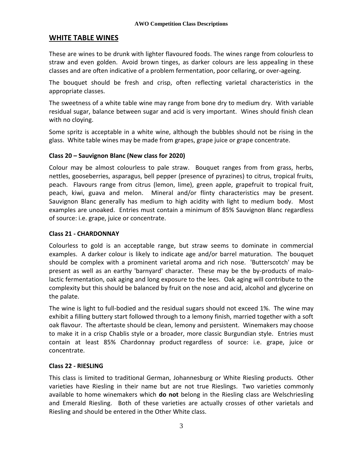# **WHITE TABLE WINES**

These are wines to be drunk with lighter flavoured foods. The wines range from colourless to straw and even golden. Avoid brown tinges, as darker colours are less appealing in these classes and are often indicative of a problem fermentation, poor cellaring, or over-ageing.

The bouquet should be fresh and crisp, often reflecting varietal characteristics in the appropriate classes.

The sweetness of a white table wine may range from bone dry to medium dry. With variable residual sugar, balance between sugar and acid is very important. Wines should finish clean with no cloying.

Some spritz is acceptable in a white wine, although the bubbles should not be rising in the glass. White table wines may be made from grapes, grape juice or grape concentrate.

#### **Class 20 – Sauvignon Blanc (New class for 2020)**

Colour may be almost colourless to pale straw. Bouquet ranges from from grass, herbs, nettles, gooseberries, asparagus, bell pepper (presence of pyrazines) to citrus, tropical fruits, peach. Flavours range from citrus (lemon, lime), green apple, grapefruit to tropical fruit, peach, kiwi, guava and melon. Mineral and/or flinty characteristics may be present. Sauvignon Blanc generally has medium to high acidity with light to medium body. Most examples are unoaked. Entries must contain a minimum of 85% Sauvignon Blanc regardless of source: i.e. grape, juice or concentrate.

#### **Class 21 - CHARDONNAY**

Colourless to gold is an acceptable range, but straw seems to dominate in commercial examples. A darker colour is likely to indicate age and/or barrel maturation. The bouquet should be complex with a prominent varietal aroma and rich nose. 'Butterscotch' may be present as well as an earthy 'barnyard' character. These may be the by-products of malolactic fermentation, oak aging and long exposure to the lees. Oak aging will contribute to the complexity but this should be balanced by fruit on the nose and acid, alcohol and glycerine on the palate.

The wine is light to full-bodied and the residual sugars should not exceed 1%. The wine may exhibit a filling buttery start followed through to a lemony finish, married together with a soft oak flavour. The aftertaste should be clean, lemony and persistent. Winemakers may choose to make it in a crisp Chablis style or a broader, more classic Burgundian style. Entries must contain at least 85% Chardonnay product regardless of source: i.e. grape, juice or concentrate.

#### **Class 22 - RIESLING**

This class is limited to traditional German, Johannesburg or White Riesling products. Other varieties have Riesling in their name but are not true Rieslings. Two varieties commonly available to home winemakers which **do not** belong in the Riesling class are Welschriesling and Emerald Riesling. Both of these varieties are actually crosses of other varietals and Riesling and should be entered in the Other White class.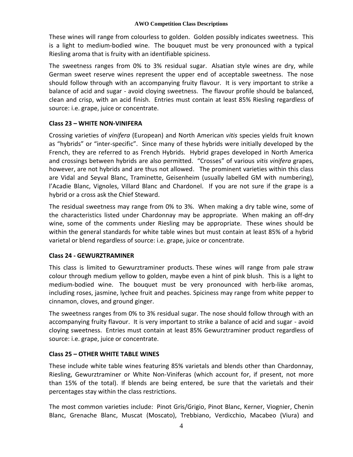These wines will range from colourless to golden. Golden possibly indicates sweetness. This is a light to medium-bodied wine. The bouquet must be very pronounced with a typical Riesling aroma that is fruity with an identifiable spiciness.

The sweetness ranges from 0% to 3% residual sugar. Alsatian style wines are dry, while German sweet reserve wines represent the upper end of acceptable sweetness. The nose should follow through with an accompanying fruity flavour. It is very important to strike a balance of acid and sugar - avoid cloying sweetness. The flavour profile should be balanced, clean and crisp, with an acid finish. Entries must contain at least 85% Riesling regardless of source: i.e. grape, juice or concentrate.

# **Class 23 – WHITE NON-VINIFERA**

Crossing varieties of *vinifera* (European) and North American *vitis* species yields fruit known as "hybrids" or "inter-specific". Since many of these hybrids were initially developed by the French, they are referred to as French Hybrids. Hybrid grapes developed in North America and crossings between hybrids are also permitted. "Crosses" of various *vitis vinifera* grapes, however, are not hybrids and are thus not allowed. The prominent varieties within this class are Vidal and Seyval Blanc, Traminette, Geisenheim (usually labelled GM with numbering), l'Acadie Blanc, Vignoles, Villard Blanc and Chardonel. If you are not sure if the grape is a hybrid or a cross ask the Chief Steward.

The residual sweetness may range from 0% to 3%. When making a dry table wine, some of the characteristics listed under Chardonnay may be appropriate. When making an off-dry wine, some of the comments under Riesling may be appropriate. These wines should be within the general standards for white table wines but must contain at least 85% of a hybrid varietal or blend regardless of source: i.e. grape, juice or concentrate.

# **Class 24 - GEWURZTRAMINER**

This class is limited to Gewurztraminer products. These wines will range from pale straw colour through medium yellow to golden, maybe even a hint of pink blush. This is a light to medium-bodied wine. The bouquet must be very pronounced with herb-like aromas, including roses, jasmine, lychee fruit and peaches. Spiciness may range from white pepper to cinnamon, cloves, and ground ginger.

The sweetness ranges from 0% to 3% residual sugar. The nose should follow through with an accompanying fruity flavour. It is very important to strike a balance of acid and sugar - avoid cloying sweetness. Entries must contain at least 85% Gewurztraminer product regardless of source: i.e. grape, juice or concentrate.

# **Class 25 – OTHER WHITE TABLE WINES**

These include white table wines featuring 85% varietals and blends other than Chardonnay, Riesling, Gewurztraminer or White Non-Viniferas (which account for, if present, not more than 15% of the total). If blends are being entered, be sure that the varietals and their percentages stay within the class restrictions.

The most common varieties include: Pinot Gris/Grigio, Pinot Blanc, Kerner, Viognier, Chenin Blanc, Grenache Blanc, Muscat (Moscato), Trebbiano, Verdicchio, Macabeo (Viura) and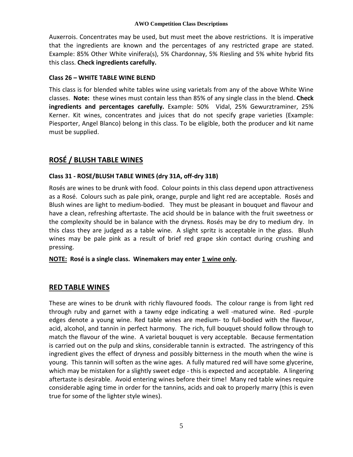Auxerrois. Concentrates may be used, but must meet the above restrictions. It is imperative that the ingredients are known and the percentages of any restricted grape are stated. Example: 85% Other White vinifera(s), 5% Chardonnay, 5% Riesling and 5% white hybrid fits this class. **Check ingredients carefully.**

#### **Class 26 – WHITE TABLE WINE BLEND**

This class is for blended white tables wine using varietals from any of the above White Wine classes. **Note:** these wines must contain less than 85% of any single class in the blend. **Check ingredients and percentages carefully.** Example: 50% Vidal, 25% Gewurztraminer, 25% Kerner. Kit wines, concentrates and juices that do not specify grape varieties (Example: Piesporter, Angel Blanco) belong in this class. To be eligible, both the producer and kit name must be supplied.

# **ROSÉ / BLUSH TABLE WINES**

# **Class 31 - ROSE/BLUSH TABLE WINES (dry 31A, off-dry 31B)**

Rosés are wines to be drunk with food. Colour points in this class depend upon attractiveness as a Rosé. Colours such as pale pink, orange, purple and light red are acceptable. Rosés and Blush wines are light to medium-bodied. They must be pleasant in bouquet and flavour and have a clean, refreshing aftertaste. The acid should be in balance with the fruit sweetness or the complexity should be in balance with the dryness. Rosés may be dry to medium dry. In this class they are judged as a table wine. A slight spritz is acceptable in the glass. Blush wines may be pale pink as a result of brief red grape skin contact during crushing and pressing.

**NOTE: Rosé is a single class. Winemakers may enter 1 wine only.**

# **RED TABLE WINES**

These are wines to be drunk with richly flavoured foods. The colour range is from light red through ruby and garnet with a tawny edge indicating a well -matured wine. Red -purple edges denote a young wine. Red table wines are medium- to full-bodied with the flavour, acid, alcohol, and tannin in perfect harmony. The rich, full bouquet should follow through to match the flavour of the wine. A varietal bouquet is very acceptable. Because fermentation is carried out on the pulp and skins, considerable tannin is extracted. The astringency of this ingredient gives the effect of dryness and possibly bitterness in the mouth when the wine is young. This tannin will soften as the wine ages. A fully matured red will have some glycerine, which may be mistaken for a slightly sweet edge - this is expected and acceptable. A lingering aftertaste is desirable. Avoid entering wines before their time! Many red table wines require considerable aging time in order for the tannins, acids and oak to properly marry (this is even true for some of the lighter style wines).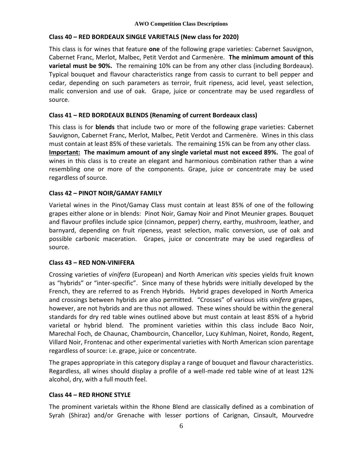#### **Class 40 – RED BORDEAUX SINGLE VARIETALS (New class for 2020)**

This class is for wines that feature **one** of the following grape varieties: Cabernet Sauvignon, Cabernet Franc, Merlot, Malbec, Petit Verdot and Carmenère. **The minimum amount of this varietal must be 90%.** The remaining 10% can be from any other class (including Bordeaux). Typical bouquet and flavour characteristics range from cassis to currant to bell pepper and cedar, depending on such parameters as terroir, fruit ripeness, acid level, yeast selection, malic conversion and use of oak. Grape, juice or concentrate may be used regardless of source.

#### **Class 41 – RED BORDEAUX BLENDS (Renaming of current Bordeaux class)**

This class is for **blends** that include two or more of the following grape varieties: Cabernet Sauvignon, Cabernet Franc, Merlot, Malbec, Petit Verdot and Carmenère. Wines in this class must contain at least 85% of these varietals. The remaining 15% can be from any other class. **Important: The maximum amount of any single varietal must not exceed 89%.** The goal of wines in this class is to create an elegant and harmonious combination rather than a wine resembling one or more of the components. Grape, juice or concentrate may be used regardless of source.

# **Class 42 – PINOT NOIR/GAMAY FAMILY**

Varietal wines in the Pinot/Gamay Class must contain at least 85% of one of the following grapes either alone or in blends: Pinot Noir, Gamay Noir and Pinot Meunier grapes. Bouquet and flavour profiles include spice (cinnamon, pepper) cherry, earthy, mushroom, leather, and barnyard, depending on fruit ripeness, yeast selection, malic conversion, use of oak and possible carbonic maceration. Grapes, juice or concentrate may be used regardless of source.

# **Class 43 – RED NON-VINIFERA**

Crossing varieties of *vinifera* (European) and North American *vitis* species yields fruit known as "hybrids" or "inter-specific". Since many of these hybrids were initially developed by the French, they are referred to as French Hybrids. Hybrid grapes developed in North America and crossings between hybrids are also permitted. "Crosses" of various *vitis vinifera* grapes, however, are not hybrids and are thus not allowed. These wines should be within the general standards for dry red table wines outlined above but must contain at least 85% of a hybrid varietal or hybrid blend. The prominent varieties within this class include Baco Noir, Marechal Foch, de Chaunac, Chambourcin, Chancellor, Lucy Kuhlman, Noiret, Rondo, Regent, Villard Noir, Frontenac and other experimental varieties with North American scion parentage regardless of source: i.e. grape, juice or concentrate.

The grapes appropriate in this category display a range of bouquet and flavour characteristics. Regardless, all wines should display a profile of a well-made red table wine of at least 12% alcohol, dry, with a full mouth feel.

# **Class 44 – RED RHONE STYLE**

The prominent varietals within the Rhone Blend are classically defined as a combination of Syrah (Shiraz) and/or Grenache with lesser portions of Carignan, Cinsault, Mourvedre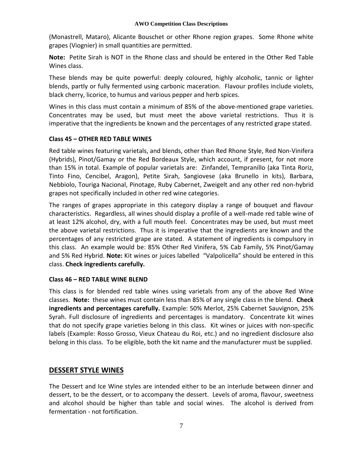(Monastrell, Mataro), Alicante Bouschet or other Rhone region grapes. Some Rhone white grapes (Viognier) in small quantities are permitted.

**Note:** Petite Sirah is NOT in the Rhone class and should be entered in the Other Red Table Wines class.

These blends may be quite powerful: deeply coloured, highly alcoholic, tannic or lighter blends, partly or fully fermented using carbonic maceration. Flavour profiles include violets, black cherry, licorice, to humus and various pepper and herb spices.

Wines in this class must contain a minimum of 85% of the above-mentioned grape varieties. Concentrates may be used, but must meet the above varietal restrictions. Thus it is imperative that the ingredients be known and the percentages of any restricted grape stated.

#### **Class 45 – OTHER RED TABLE WINES**

Red table wines featuring varietals, and blends, other than Red Rhone Style, Red Non-Vinifera (Hybrids), Pinot/Gamay or the Red Bordeaux Style, which account, if present, for not more than 15% in total. Example of popular varietals are: Zinfandel, Tempranillo (aka Tinta Roriz, Tinto Fino, Cencibel, Aragon), Petite Sirah, Sangiovese (aka Brunello in kits), Barbara, Nebbiolo, Touriga Nacional, Pinotage, Ruby Cabernet, Zweigelt and any other red non-hybrid grapes not specifically included in other red wine categories.

The ranges of grapes appropriate in this category display a range of bouquet and flavour characteristics. Regardless, all wines should display a profile of a well-made red table wine of at least 12% alcohol, dry, with a full mouth feel. Concentrates may be used, but must meet the above varietal restrictions. Thus it is imperative that the ingredients are known and the percentages of any restricted grape are stated. A statement of ingredients is compulsory in this class. An example would be: 85% Other Red Vinifera, 5% Cab Family, 5% Pinot/Gamay and 5% Red Hybrid. **Note:** Kit wines or juices labelled "Valpolicella" should be entered in this class. **Check ingredients carefully.**

# **Class 46 – RED TABLE WINE BLEND**

This class is for blended red table wines using varietals from any of the above Red Wine classes. **Note:** these wines must contain less than 85% of any single class in the blend. **Check ingredients and percentages carefully.** Example: 50% Merlot, 25% Cabernet Sauvignon, 25% Syrah. Full disclosure of ingredients and percentages is mandatory. Concentrate kit wines that do not specify grape varieties belong in this class. Kit wines or juices with non-specific labels (Example: Rosso Grosso, Vieux Chateau du Roi, etc.) and no ingredient disclosure also belong in this class. To be eligible, both the kit name and the manufacturer must be supplied.

# **DESSERT STYLE WINES**

The Dessert and Ice Wine styles are intended either to be an interlude between dinner and dessert, to be the dessert, or to accompany the dessert. Levels of aroma, flavour, sweetness and alcohol should be higher than table and social wines. The alcohol is derived from fermentation - not fortification.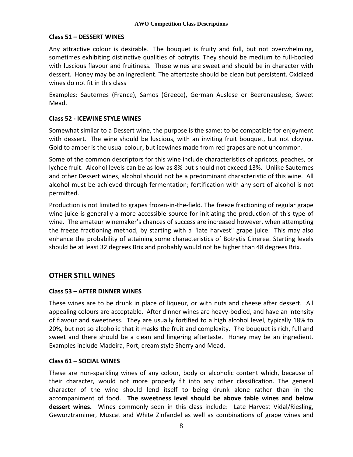#### **Class 51 – DESSERT WINES**

Any attractive colour is desirable. The bouquet is fruity and full, but not overwhelming, sometimes exhibiting distinctive qualities of botrytis. They should be medium to full-bodied with luscious flavour and fruitiness. These wines are sweet and should be in character with dessert. Honey may be an ingredient. The aftertaste should be clean but persistent. Oxidized wines do not fit in this class

Examples: Sauternes (France), Samos (Greece), German Auslese or Beerenauslese, Sweet Mead.

# **Class 52 - ICEWINE STYLE WINES**

Somewhat similar to a Dessert wine, the purpose is the same: to be compatible for enjoyment with dessert. The wine should be luscious, with an inviting fruit bouquet, but not cloying. Gold to amber is the usual colour, but icewines made from red grapes are not uncommon.

Some of the common descriptors for this wine include characteristics of apricots, peaches, or lychee fruit. Alcohol levels can be as low as 8% but should not exceed 13%. Unlike Sauternes and other Dessert wines, alcohol should not be a predominant characteristic of this wine. All alcohol must be achieved through fermentation; fortification with any sort of alcohol is not permitted.

Production is not limited to grapes frozen-in-the-field. The freeze fractioning of regular grape wine juice is generally a more accessible source for initiating the production of this type of wine. The amateur winemaker's chances of success are increased however, when attempting the freeze fractioning method, by starting with a "late harvest" grape juice. This may also enhance the probability of attaining some characteristics of Botrytis Cinerea. Starting levels should be at least 32 degrees Brix and probably would not be higher than 48 degrees Brix.

# **OTHER STILL WINES**

# **Class 53 – AFTER DINNER WINES**

These wines are to be drunk in place of liqueur, or with nuts and cheese after dessert. All appealing colours are acceptable. After dinner wines are heavy-bodied, and have an intensity of flavour and sweetness. They are usually fortified to a high alcohol level, typically 18% to 20%, but not so alcoholic that it masks the fruit and complexity. The bouquet is rich, full and sweet and there should be a clean and lingering aftertaste. Honey may be an ingredient. Examples include Madeira, Port, cream style Sherry and Mead.

#### **Class 61 – SOCIAL WINES**

These are non-sparkling wines of any colour, body or alcoholic content which, because of their character, would not more properly fit into any other classification. The general character of the wine should lend itself to being drunk alone rather than in the accompaniment of food. **The sweetness level should be above table wines and below dessert wines.** Wines commonly seen in this class include: Late Harvest Vidal/Riesling, Gewurztraminer, Muscat and White Zinfandel as well as combinations of grape wines and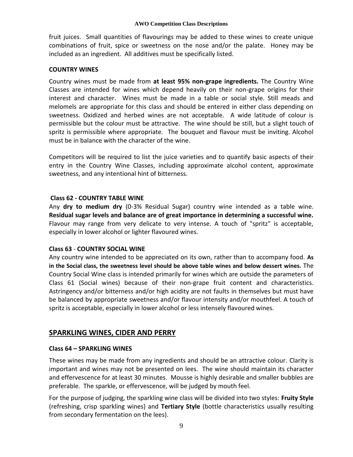fruit juices. Small quantities of flavourings may be added to these wines to create unique combinations of fruit, spice or sweetness on the nose and/or the palate. Honey may be included as an ingredient. All additives must be specifically listed.

#### **COUNTRY WINES**

Country wines must be made from **at least 95% non-grape ingredients.** The Country Wine Classes are intended for wines which depend heavily on their non-grape origins for their interest and character. Wines must be made in a table or social style. Still meads and melomels are appropriate for this class and should be entered in either class depending on sweetness. Oxidized and herbed wines are not acceptable. A wide latitude of colour is permissible but the colour must be attractive. The wine should be still, but a slight touch of spritz is permissible where appropriate. The bouquet and flavour must be inviting. Alcohol must be in balance with the character of the wine.

Competitors will be required to list the juice varieties and to quantify basic aspects of their entry in the Country Wine Classes, including approximate alcohol content, approximate sweetness, and any intentional hint of bitterness.

#### **Class 62 - COUNTRY TABLE WINE**

Any **dry to medium dry** (0-3% Residual Sugar) country wine intended as a table wine. **Residual sugar levels and balance are of great importance in determining a successful wine.**  Flavour may range from very delicate to very intense. A touch of "spritz" is acceptable, especially in lower alcohol or lighter flavoured wines.

# **Class 63** - **COUNTRY SOCIAL WINE**

Any country wine intended to be appreciated on its own, rather than to accompany food. **As in the Social class, the sweetness level should be above table wines and below dessert wines.** The Country Social Wine class is intended primarily for wines which are outside the parameters of Class 61 (Social wines) because of their non-grape fruit content and characteristics. Astringency and/or bitterness and/or high acidity are not faults in themselves but must have be balanced by appropriate sweetness and/or flavour intensity and/or mouthfeel. A touch of spritz is acceptable, especially in lower alcohol or less intensely flavoured wines.

# **SPARKLING WINES, CIDER AND PERRY**

#### **Class 64 – SPARKLING WINES**

These wines may be made from any ingredients and should be an attractive colour. Clarity is important and wines may not be presented on lees. The wine should maintain its character and effervescence for at least 30 minutes. Mousse is highly desirable and smaller bubbles are preferable. The sparkle, or effervescence, will be judged by mouth feel.

For the purpose of judging, the sparkling wine class will be divided into two styles: **Fruity Style** (refreshing, crisp sparkling wines) and **Tertiary Style** (bottle characteristics usually resulting from secondary fermentation on the lees).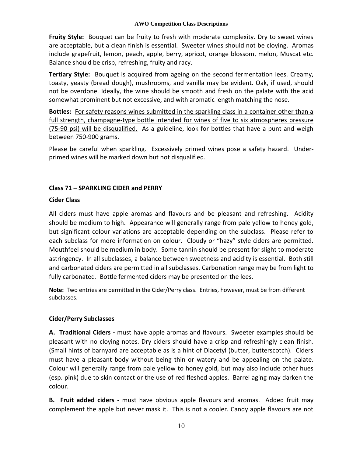**Fruity Style:** Bouquet can be fruity to fresh with moderate complexity. Dry to sweet wines are acceptable, but a clean finish is essential. Sweeter wines should not be cloying. Aromas include grapefruit, lemon, peach, apple, berry, apricot, orange blossom, melon, Muscat etc. Balance should be crisp, refreshing, fruity and racy.

**Tertiary Style:** Bouquet is acquired from ageing on the second fermentation lees. Creamy, toasty, yeasty (bread dough), mushrooms, and vanilla may be evident. Oak, if used, should not be overdone. Ideally, the wine should be smooth and fresh on the palate with the acid somewhat prominent but not excessive, and with aromatic length matching the nose.

**Bottles:** For safety reasons wines submitted in the sparkling class in a container other than a full strength, champagne-type bottle intended for wines of five to six atmospheres pressure (75-90 psi) will be disqualified. As a guideline, look for bottles that have a punt and weigh between 750-900 grams.

Please be careful when sparkling. Excessively primed wines pose a safety hazard. Underprimed wines will be marked down but not disqualified.

# **Class 71 – SPARKLING CIDER and PERRY**

#### **Cider Class**

All ciders must have apple aromas and flavours and be pleasant and refreshing. Acidity should be medium to high. Appearance will generally range from pale yellow to honey gold, but significant colour variations are acceptable depending on the subclass. Please refer to each subclass for more information on colour. Cloudy or "hazy" style ciders are permitted. Mouthfeel should be medium in body. Some tannin should be present for slight to moderate astringency. In all subclasses, a balance between sweetness and acidity is essential. Both still and carbonated ciders are permitted in all subclasses. Carbonation range may be from light to fully carbonated. Bottle fermented ciders may be presented on the lees.

**Note:** Two entries are permitted in the Cider/Perry class. Entries, however, must be from different subclasses.

# **Cider/Perry Subclasses**

**A. Traditional Ciders -** must have apple aromas and flavours. Sweeter examples should be pleasant with no cloying notes. Dry ciders should have a crisp and refreshingly clean finish. (Small hints of barnyard are acceptable as is a hint of Diacetyl (butter, butterscotch). Ciders must have a pleasant body without being thin or watery and be appealing on the palate. Colour will generally range from pale yellow to honey gold, but may also include other hues (esp. pink) due to skin contact or the use of red fleshed apples. Barrel aging may darken the colour.

**B. Fruit added ciders -** must have obvious apple flavours and aromas. Added fruit may complement the apple but never mask it. This is not a cooler. Candy apple flavours are not